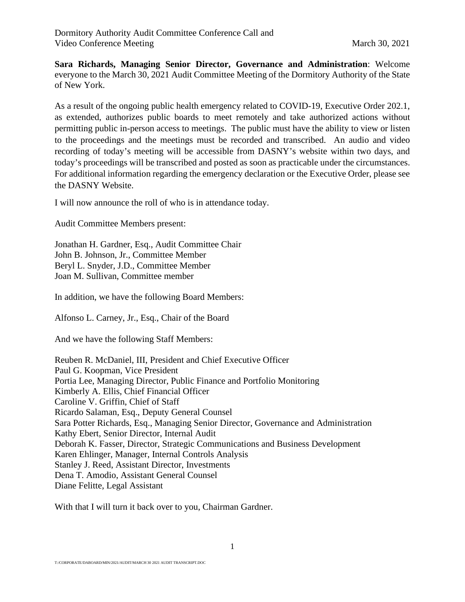**Sara Richards, Managing Senior Director, Governance and Administration**: Welcome everyone to the March 30, 2021 Audit Committee Meeting of the Dormitory Authority of the State of New York.

As a result of the ongoing public health emergency related to COVID-19, Executive Order 202.1, as extended, authorizes public boards to meet remotely and take authorized actions without permitting public in-person access to meetings. The public must have the ability to view or listen to the proceedings and the meetings must be recorded and transcribed. An audio and video recording of today's meeting will be accessible from DASNY's website within two days, and today's proceedings will be transcribed and posted as soon as practicable under the circumstances. For additional information regarding the emergency declaration or the Executive Order, please see the DASNY Website.

I will now announce the roll of who is in attendance today.

Audit Committee Members present:

Jonathan H. Gardner, Esq., Audit Committee Chair John B. Johnson, Jr., Committee Member Beryl L. Snyder, J.D., Committee Member Joan M. Sullivan, Committee member

In addition, we have the following Board Members:

Alfonso L. Carney, Jr., Esq., Chair of the Board

And we have the following Staff Members:

Reuben R. McDaniel, III, President and Chief Executive Officer Paul G. Koopman, Vice President Portia Lee, Managing Director, Public Finance and Portfolio Monitoring Kimberly A. Ellis, Chief Financial Officer Caroline V. Griffin, Chief of Staff Ricardo Salaman, Esq., Deputy General Counsel Sara Potter Richards, Esq., Managing Senior Director, Governance and Administration Kathy Ebert, Senior Director, Internal Audit Deborah K. Fasser, Director, Strategic Communications and Business Development Karen Ehlinger, Manager, Internal Controls Analysis Stanley J. Reed, Assistant Director, Investments Dena T. Amodio, Assistant General Counsel Diane Felitte, Legal Assistant

With that I will turn it back over to you, Chairman Gardner.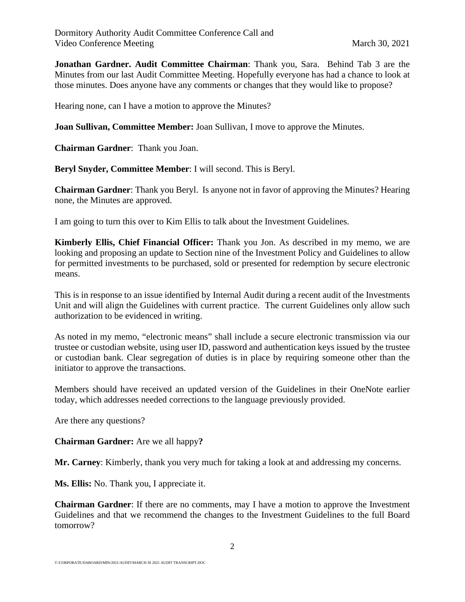**Jonathan Gardner. Audit Committee Chairman**: Thank you, Sara. Behind Tab 3 are the Minutes from our last Audit Committee Meeting. Hopefully everyone has had a chance to look at those minutes. Does anyone have any comments or changes that they would like to propose?

Hearing none, can I have a motion to approve the Minutes?

**Joan Sullivan, Committee Member:** Joan Sullivan, I move to approve the Minutes.

**Chairman Gardner**: Thank you Joan.

**Beryl Snyder, Committee Member**: I will second. This is Beryl.

**Chairman Gardner**: Thank you Beryl. Is anyone not in favor of approving the Minutes? Hearing none, the Minutes are approved.

I am going to turn this over to Kim Ellis to talk about the Investment Guidelines.

**Kimberly Ellis, Chief Financial Officer:** Thank you Jon. As described in my memo, we are looking and proposing an update to Section nine of the Investment Policy and Guidelines to allow for permitted investments to be purchased, sold or presented for redemption by secure electronic means.

This is in response to an issue identified by Internal Audit during a recent audit of the Investments Unit and will align the Guidelines with current practice. The current Guidelines only allow such authorization to be evidenced in writing.

As noted in my memo, "electronic means" shall include a secure electronic transmission via our trustee or custodian website, using user ID, password and authentication keys issued by the trustee or custodian bank. Clear segregation of duties is in place by requiring someone other than the initiator to approve the transactions.

Members should have received an updated version of the Guidelines in their OneNote earlier today, which addresses needed corrections to the language previously provided.

Are there any questions?

**Chairman Gardner:** Are we all happy**?**

**Mr. Carney**: Kimberly, thank you very much for taking a look at and addressing my concerns.

**Ms. Ellis:** No. Thank you, I appreciate it.

**Chairman Gardner**: If there are no comments, may I have a motion to approve the Investment Guidelines and that we recommend the changes to the Investment Guidelines to the full Board tomorrow?

2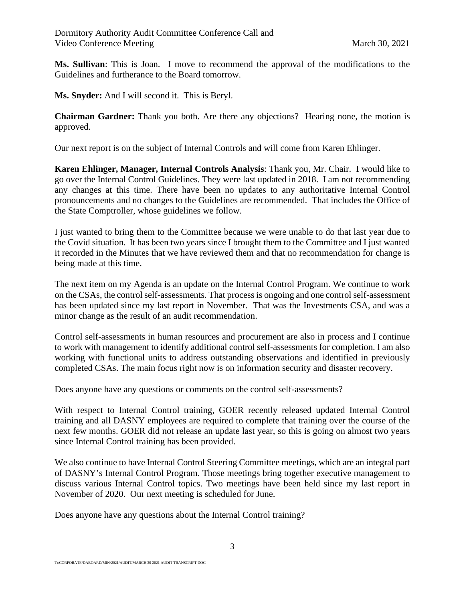**Ms. Sullivan**: This is Joan. I move to recommend the approval of the modifications to the Guidelines and furtherance to the Board tomorrow.

**Ms. Snyder:** And I will second it. This is Beryl.

**Chairman Gardner:** Thank you both. Are there any objections? Hearing none, the motion is approved.

Our next report is on the subject of Internal Controls and will come from Karen Ehlinger.

**Karen Ehlinger, Manager, Internal Controls Analysis**: Thank you, Mr. Chair. I would like to go over the Internal Control Guidelines. They were last updated in 2018. I am not recommending any changes at this time. There have been no updates to any authoritative Internal Control pronouncements and no changes to the Guidelines are recommended. That includes the Office of the State Comptroller, whose guidelines we follow.

I just wanted to bring them to the Committee because we were unable to do that last year due to the Covid situation. It has been two years since I brought them to the Committee and I just wanted it recorded in the Minutes that we have reviewed them and that no recommendation for change is being made at this time.

The next item on my Agenda is an update on the Internal Control Program. We continue to work on the CSAs, the control self-assessments. That process is ongoing and one control self-assessment has been updated since my last report in November. That was the Investments CSA, and was a minor change as the result of an audit recommendation.

Control self-assessments in human resources and procurement are also in process and I continue to work with management to identify additional control self-assessments for completion. I am also working with functional units to address outstanding observations and identified in previously completed CSAs. The main focus right now is on information security and disaster recovery.

Does anyone have any questions or comments on the control self-assessments?

With respect to Internal Control training, GOER recently released updated Internal Control training and all DASNY employees are required to complete that training over the course of the next few months. GOER did not release an update last year, so this is going on almost two years since Internal Control training has been provided.

We also continue to have Internal Control Steering Committee meetings, which are an integral part of DASNY's Internal Control Program. Those meetings bring together executive management to discuss various Internal Control topics. Two meetings have been held since my last report in November of 2020. Our next meeting is scheduled for June.

Does anyone have any questions about the Internal Control training?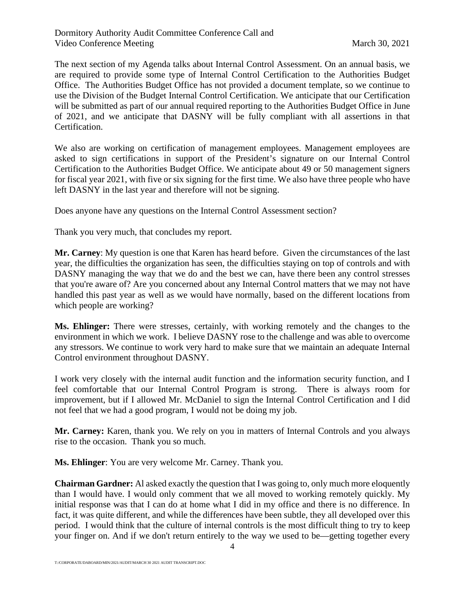The next section of my Agenda talks about Internal Control Assessment. On an annual basis, we are required to provide some type of Internal Control Certification to the Authorities Budget Office. The Authorities Budget Office has not provided a document template, so we continue to use the Division of the Budget Internal Control Certification. We anticipate that our Certification will be submitted as part of our annual required reporting to the Authorities Budget Office in June of 2021, and we anticipate that DASNY will be fully compliant with all assertions in that Certification.

We also are working on certification of management employees. Management employees are asked to sign certifications in support of the President's signature on our Internal Control Certification to the Authorities Budget Office. We anticipate about 49 or 50 management signers for fiscal year 2021, with five or six signing for the first time. We also have three people who have left DASNY in the last year and therefore will not be signing.

Does anyone have any questions on the Internal Control Assessment section?

Thank you very much, that concludes my report.

**Mr. Carney**: My question is one that Karen has heard before. Given the circumstances of the last year, the difficulties the organization has seen, the difficulties staying on top of controls and with DASNY managing the way that we do and the best we can, have there been any control stresses that you're aware of? Are you concerned about any Internal Control matters that we may not have handled this past year as well as we would have normally, based on the different locations from which people are working?

**Ms. Ehlinger:** There were stresses, certainly, with working remotely and the changes to the environment in which we work. I believe DASNY rose to the challenge and was able to overcome any stressors. We continue to work very hard to make sure that we maintain an adequate Internal Control environment throughout DASNY.

I work very closely with the internal audit function and the information security function, and I feel comfortable that our Internal Control Program is strong. There is always room for improvement, but if I allowed Mr. McDaniel to sign the Internal Control Certification and I did not feel that we had a good program, I would not be doing my job.

**Mr. Carney:** Karen, thank you. We rely on you in matters of Internal Controls and you always rise to the occasion. Thank you so much.

**Ms. Ehlinger**: You are very welcome Mr. Carney. Thank you.

**Chairman Gardner:** Al asked exactly the question that I was going to, only much more eloquently than I would have. I would only comment that we all moved to working remotely quickly. My initial response was that I can do at home what I did in my office and there is no difference. In fact, it was quite different, and while the differences have been subtle, they all developed over this period. I would think that the culture of internal controls is the most difficult thing to try to keep your finger on. And if we don't return entirely to the way we used to be—getting together every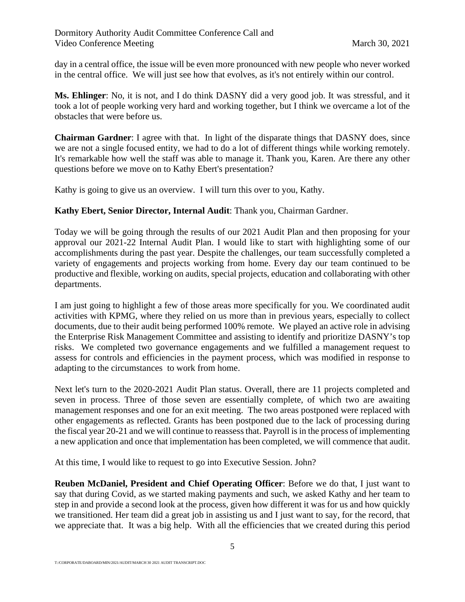day in a central office, the issue will be even more pronounced with new people who never worked in the central office. We will just see how that evolves, as it's not entirely within our control.

**Ms. Ehlinger**: No, it is not, and I do think DASNY did a very good job. It was stressful, and it took a lot of people working very hard and working together, but I think we overcame a lot of the obstacles that were before us.

**Chairman Gardner**: I agree with that. In light of the disparate things that DASNY does, since we are not a single focused entity, we had to do a lot of different things while working remotely. It's remarkable how well the staff was able to manage it. Thank you, Karen. Are there any other questions before we move on to Kathy Ebert's presentation?

Kathy is going to give us an overview. I will turn this over to you, Kathy.

**Kathy Ebert, Senior Director, Internal Audit**: Thank you, Chairman Gardner.

Today we will be going through the results of our 2021 Audit Plan and then proposing for your approval our 2021-22 Internal Audit Plan. I would like to start with highlighting some of our accomplishments during the past year. Despite the challenges, our team successfully completed a variety of engagements and projects working from home. Every day our team continued to be productive and flexible, working on audits, special projects, education and collaborating with other departments.

I am just going to highlight a few of those areas more specifically for you. We coordinated audit activities with KPMG, where they relied on us more than in previous years, especially to collect documents, due to their audit being performed 100% remote. We played an active role in advising the Enterprise Risk Management Committee and assisting to identify and prioritize DASNY's top risks. We completed two governance engagements and we fulfilled a management request to assess for controls and efficiencies in the payment process, which was modified in response to adapting to the circumstances to work from home.

Next let's turn to the 2020-2021 Audit Plan status. Overall, there are 11 projects completed and seven in process. Three of those seven are essentially complete, of which two are awaiting management responses and one for an exit meeting. The two areas postponed were replaced with other engagements as reflected. Grants has been postponed due to the lack of processing during the fiscal year 20-21 and we will continue to reassess that. Payroll is in the process of implementing a new application and once that implementation has been completed, we will commence that audit.

At this time, I would like to request to go into Executive Session. John?

**Reuben McDaniel, President and Chief Operating Officer**: Before we do that, I just want to say that during Covid, as we started making payments and such, we asked Kathy and her team to step in and provide a second look at the process, given how different it was for us and how quickly we transitioned. Her team did a great job in assisting us and I just want to say, for the record, that we appreciate that. It was a big help. With all the efficiencies that we created during this period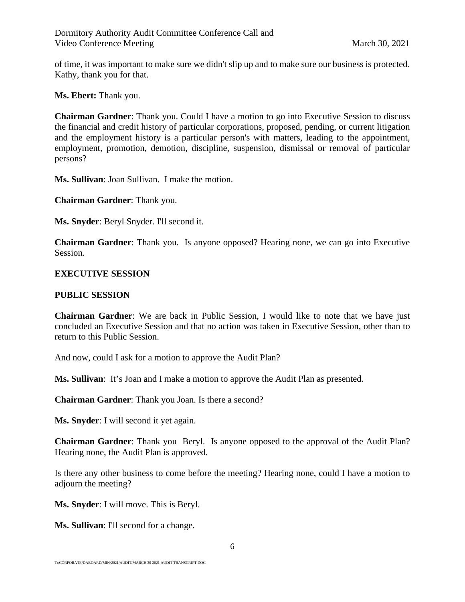of time, it was important to make sure we didn't slip up and to make sure our business is protected. Kathy, thank you for that.

**Ms. Ebert:** Thank you.

**Chairman Gardner**: Thank you. Could I have a motion to go into Executive Session to discuss the financial and credit history of particular corporations, proposed, pending, or current litigation and the employment history is a particular person's with matters, leading to the appointment, employment, promotion, demotion, discipline, suspension, dismissal or removal of particular persons?

**Ms. Sullivan**: Joan Sullivan. I make the motion.

**Chairman Gardner**: Thank you.

**Ms. Snyder**: Beryl Snyder. I'll second it.

**Chairman Gardner**: Thank you. Is anyone opposed? Hearing none, we can go into Executive Session.

## **EXECUTIVE SESSION**

## **PUBLIC SESSION**

**Chairman Gardner**: We are back in Public Session, I would like to note that we have just concluded an Executive Session and that no action was taken in Executive Session, other than to return to this Public Session.

And now, could I ask for a motion to approve the Audit Plan?

**Ms. Sullivan**: It's Joan and I make a motion to approve the Audit Plan as presented.

**Chairman Gardner**: Thank you Joan. Is there a second?

**Ms. Snyder**: I will second it yet again.

**Chairman Gardner**: Thank you Beryl. Is anyone opposed to the approval of the Audit Plan? Hearing none, the Audit Plan is approved.

Is there any other business to come before the meeting? Hearing none, could I have a motion to adjourn the meeting?

**Ms. Snyder**: I will move. This is Beryl.

**Ms. Sullivan**: I'll second for a change.